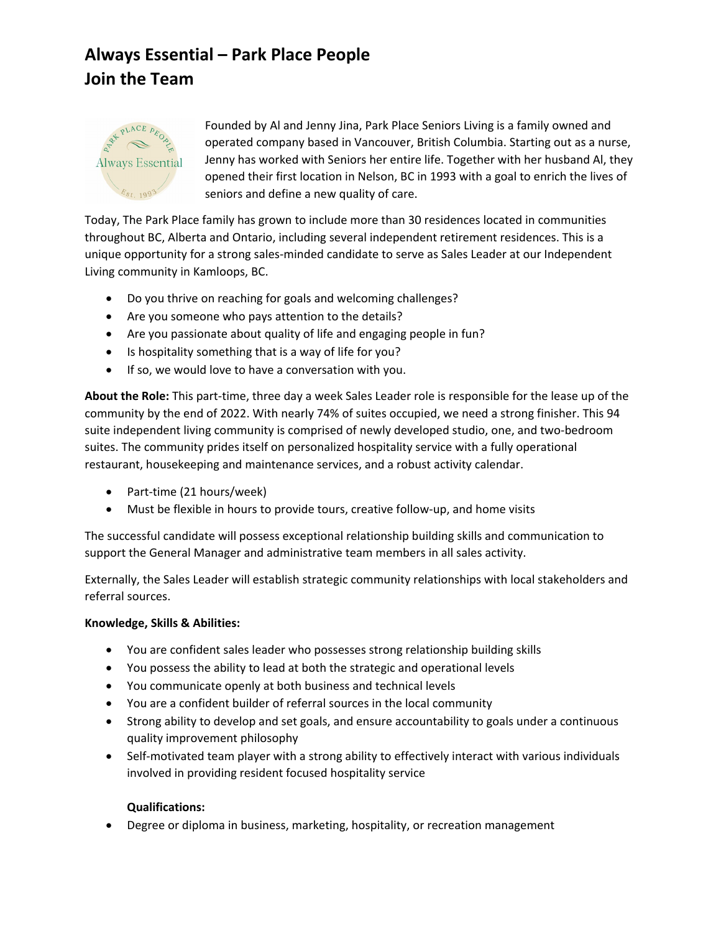## **Always Essential – Park Place People Join the Team**



Founded by Al and Jenny Jina, Park Place Seniors Living is a family owned and operated company based in Vancouver, British Columbia. Starting out as a nurse, Jenny has worked with Seniors her entire life. Together with her husband Al, they opened their first location in Nelson, BC in 1993 with a goal to enrich the lives of seniors and define a new quality of care.

Today, The Park Place family has grown to include more than 30 residences located in communities throughout BC, Alberta and Ontario, including several independent retirement residences. This is a unique opportunity for a strong sales-minded candidate to serve as Sales Leader at our Independent Living community in Kamloops, BC.

- Do you thrive on reaching for goals and welcoming challenges?
- Are you someone who pays attention to the details?
- Are you passionate about quality of life and engaging people in fun?
- Is hospitality something that is a way of life for you?
- If so, we would love to have a conversation with you.

**About the Role:** This part-time, three day a week Sales Leader role is responsible for the lease up of the community by the end of 2022. With nearly 74% of suites occupied, we need a strong finisher. This 94 suite independent living community is comprised of newly developed studio, one, and two-bedroom suites. The community prides itself on personalized hospitality service with a fully operational restaurant, housekeeping and maintenance services, and a robust activity calendar.

- Part-time (21 hours/week)
- Must be flexible in hours to provide tours, creative follow-up, and home visits

The successful candidate will possess exceptional relationship building skills and communication to support the General Manager and administrative team members in all sales activity.

Externally, the Sales Leader will establish strategic community relationships with local stakeholders and referral sources.

## **Knowledge, Skills & Abilities:**

- You are confident sales leader who possesses strong relationship building skills
- You possess the ability to lead at both the strategic and operational levels
- You communicate openly at both business and technical levels
- You are a confident builder of referral sources in the local community
- Strong ability to develop and set goals, and ensure accountability to goals under a continuous quality improvement philosophy
- Self-motivated team player with a strong ability to effectively interact with various individuals involved in providing resident focused hospitality service

## **Qualifications:**

• Degree or diploma in business, marketing, hospitality, or recreation management